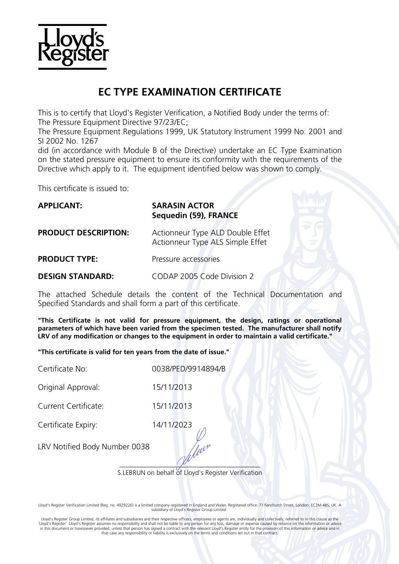

# **EC TYPE EXAMINATION CERTIFICATE**

This is to certify that Lloyd's Register Verification, a Notified Body under the terms of: The Pressure Equipment Directive 97/23/EC;

The Pressure Equipment Regulations 1999, UK Statutory Instrument 1999 No. 2001 and SI 2002 No. 1267

did (in accordance with Module B of the Directive) undertake an EC Type Examination on the stated pressure equipment to ensure its conformity with the requirements of the Directive which apply to it. The equipment identified below was shown to comply.

This certificate is issued to:

| <b>APPLICANT:</b>           | <b>SARASIN ACTOR</b><br>Sequedin (59), FRANCE                        |  |  |
|-----------------------------|----------------------------------------------------------------------|--|--|
| <b>PRODUCT DESCRIPTION:</b> | Actionneur Type ALD Double Effet<br>Actionneur Type ALS Simple Effet |  |  |
| <b>PRODUCT TYPE:</b>        | Pressure accessories                                                 |  |  |
| <b>DESIGN STANDARD:</b>     | CODAP 2005 Code Division 2                                           |  |  |

The attached Schedule details the content of the Technical Documentation and Specified Standards and shall form a part of this certificate.

**"This Certificate is not valid for pressure equipment, the design, ratings or operational parameters of which have been varied from the specimen tested. The manufacturer shall notify LRV of any modification or changes to the equipment in order to maintain a valid certificate."**

**"This certificate is valid for ten years from the date of issue."**

Certificate No: 0038/PED/9914894/B

Original Approval: 15/11/2013

Current Certificate: 15/11/2013

Certificate Expiry: 14/11/2023

LRV Notified Body Number 0038

 $\sqrt{\mu}$ S.LEBRUN on behalf of Lloyd's Register Verification

Lloyd's Register Verification Limited (Reg. no. 4929226) is a limited company registered in England and Wales. Registered office: 71 Fenchurch Street, London, EC3M 4BS, UK. A subsidiary of Lloyd's Register Group Limited.

 Lloyd's Register Group Limited, its affiliates and subsidiaries and their respective officers, employees or agents are, individually and collectively, referred to in this clause as the 'Lloyd's Register'. Lloyd's Register assumes no responsibility and shall not be liable to any person for any loss, damage or expense caused by reliance on the information or advice<br>in this document or howsoever provided, u that case any responsibility or liability is exclusively on the terms and conditions set out in that contract.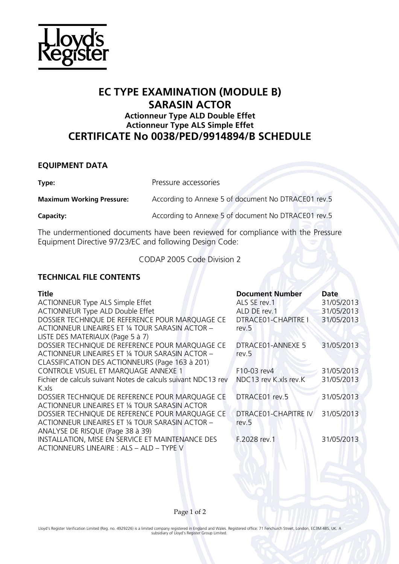

## **EC TYPE EXAMINATION (MODULE B) SARASIN ACTOR Actionneur Type ALD Double Effet**

## **Actionneur Type ALS Simple Effet CERTIFICATE No 0038/PED/9914894/B SCHEDULE**

### **EQUIPMENT DATA**

**Type:** Pressure accessories

**Maximum Working Pressure:** According to Annexe 5 of document No DTRACE01 rev.5

**Capacity:** Capacity: According to Annexe 5 of document No DTRACE01 rev.5

The undermentioned documents have been reviewed for compliance with the Pressure Equipment Directive 97/23/EC and following Design Code:

CODAP 2005 Code Division 2

### **TECHNICAL FILE CONTENTS**

| Title                                                         | <b>Document Number</b> | Date       |
|---------------------------------------------------------------|------------------------|------------|
| ACTIONNEUR Type ALS Simple Effet                              | ALS SE rev.1           | 31/05/2013 |
| <b>ACTIONNEUR Type ALD Double Effet</b>                       | ALD DE rev. 1          | 31/05/2013 |
| DOSSIER TECHNIQUE DE REFERENCE POUR MARQUAGE CE               | DTRACE01-CHAPITRE I    | 31/05/2013 |
| ACTIONNEUR LINEAIRES ET 1/4 TOUR SARASIN ACTOR -              | rev.5                  |            |
| LISTE DES MATERIAUX (Page 5 à 7)                              |                        |            |
| DOSSIER TECHNIQUE DE REFERENCE POUR MARQUAGE CE               | DTRACE01-ANNEXE 5      | 31/05/2013 |
| ACTIONNEUR LINEAIRES ET 1/4 TOUR SARASIN ACTOR -              | rev.5                  |            |
| CLASSIFICATION DES ACTIONNEURS (Page 163 à 201)               |                        |            |
| CONTROLE VISUEL ET MARQUAGE ANNEXE 1                          | F10-03 rev4            | 31/05/2013 |
| Fichier de calculs suivant Notes de calculs suivant NDC13 rev | NDC13 rev K.xls rev.K  | 31/05/2013 |
| K.xls                                                         |                        |            |
| DOSSIER TECHNIQUE DE REFERENCE POUR MARQUAGE CE               | DTRACE01 rev.5         | 31/05/2013 |
| ACTIONNEUR LINEAIRES ET 1/4 TOUR SARASIN ACTOR                |                        |            |
| DOSSIER TECHNIQUE DE REFERENCE POUR MARQUAGE CE               | DTRACE01-CHAPITRE IV   | 31/05/2013 |
| ACTIONNEUR LINEAIRES ET 1/4 TOUR SARASIN ACTOR -              | rev.5                  |            |
| ANALYSE DE RISQUE (Page 38 à 39)                              |                        |            |
| INSTALLATION, MISE EN SERVICE ET MAINTENANCE DES              | F.2028 rev.1           | 31/05/2013 |
| ACTIONNEURS LINEAIRE : ALS - ALD - TYPE V                     |                        |            |

Page 1 of 2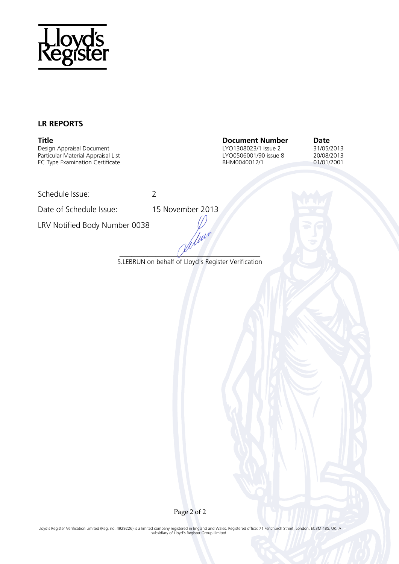

### **LR REPORTS**

Design Appraisal Document LYO1308023/1 issue 2 31/05/2013 Particular Material Appraisal List Camera Communicular Material Appraisal List Camera Communicular Material Appraisal List Camera Communicular Material Appraisal List Camera Communicular Material Communicular Communicular EC Type Examination Certificate

**Title Document Number Date**

Schedule Issue: 2

Date of Schedule Issue: 15 November 2013

LRV Notified Body Number 0038

*\_\_\_\_\_\_\_\_\_\_\_\_\_\_\_\_\_\_\_\_\_\_\_\_\_\_\_\_\_\_\_\_\_\_\_*  S.LEBRUN on behalf of Lloyd's Register Verification

fleur

Page 2 of 2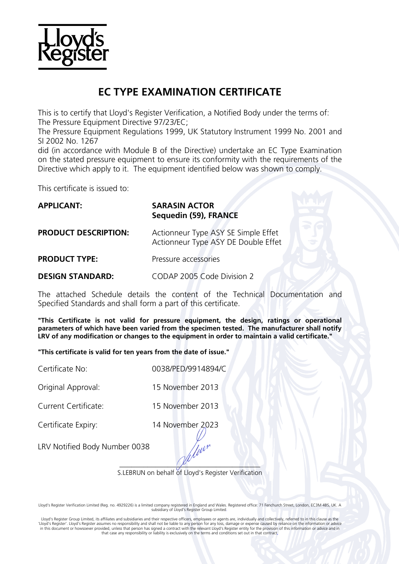

# **EC TYPE EXAMINATION CERTIFICATE**

This is to certify that Lloyd's Register Verification, a Notified Body under the terms of: The Pressure Equipment Directive 97/23/EC;

The Pressure Equipment Regulations 1999, UK Statutory Instrument 1999 No. 2001 and SI 2002 No. 1267

did (in accordance with Module B of the Directive) undertake an EC Type Examination on the stated pressure equipment to ensure its conformity with the requirements of the Directive which apply to it. The equipment identified below was shown to comply.

This certificate is issued to:

| <b>APPLICANT:</b>           | <b>SARASIN ACTOR</b><br>Sequedin (59), FRANCE                              |  |
|-----------------------------|----------------------------------------------------------------------------|--|
| <b>PRODUCT DESCRIPTION:</b> | Actionneur Type ASY SE Simple Effet<br>Actionneur Type ASY DE Double Effet |  |
| <b>PRODUCT TYPE:</b>        | Pressure accessories                                                       |  |
| <b>DESIGN STANDARD:</b>     | CODAP 2005 Code Division 2                                                 |  |

The attached Schedule details the content of the Technical Documentation and Specified Standards and shall form a part of this certificate.

**"This Certificate is not valid for pressure equipment, the design, ratings or operational parameters of which have been varied from the specimen tested. The manufacturer shall notify LRV of any modification or changes to the equipment in order to maintain a valid certificate."**

**"This certificate is valid for ten years from the date of issue."**

Certificate No: 0038/PED/9914894/C

Original Approval: 15 November 2013

Current Certificate: 15 November 2013

Certificate Expiry: 14 November 2023

LRV Notified Body Number 0038

 $\sqrt{\mu}$ S.LEBRUN on behalf of Lloyd's Register Verification

Ww<sup>r</sup>

Lloyd's Register Verification Limited (Reg. no. 4929226) is a limited company registered in England and Wales. Registered office: 71 Fenchurch Street, London, EC3M 4BS, UK. A subsidiary of Lloyd's Register Group Limited.

 Lloyd's Register Group Limited, its affiliates and subsidiaries and their respective officers, employees or agents are, individually and collectively, referred to in this clause as the 'Lloyd's Register'. Lloyd's Register assumes no responsibility and shall not be liable to any person for any loss, damage or expense caused by reliance on the information or advice<br>in this document or howsoever provided, u that case any responsibility or liability is exclusively on the terms and conditions set out in that contract.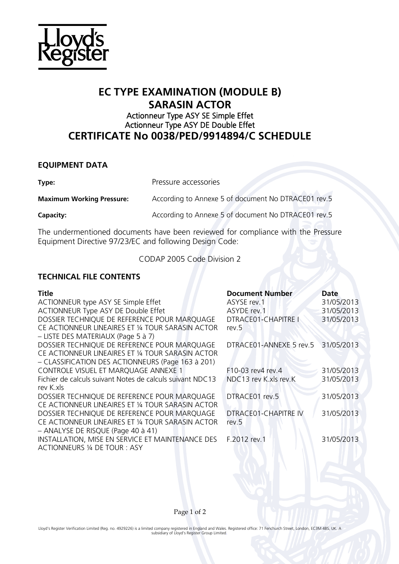

## **EC TYPE EXAMINATION (MODULE B) SARASIN ACTOR**

### Actionneur Type ASY SE Simple Effet Actionneur Type ASY DE Double Effet **CERTIFICATE No 0038/PED/9914894/C SCHEDULE**

### **EQUIPMENT DATA**

**Type:** Pressure accessories

**Maximum Working Pressure:** According to Annexe 5 of document No DTRACE01 rev.5

**Capacity:** Capacity: According to Annexe 5 of document No DTRACE01 rev.5

The undermentioned documents have been reviewed for compliance with the Pressure Equipment Directive 97/23/EC and following Design Code:

CODAP 2005 Code Division 2

### **TECHNICAL FILE CONTENTS**

| <b>Title</b>                                              | <b>Document Number</b>     | Date       |
|-----------------------------------------------------------|----------------------------|------------|
| ACTIONNEUR type ASY SE Simple Effet                       | ASYSE rev.1                | 31/05/2013 |
| ACTIONNEUR Type ASY DE Double Effet                       | ASYDE rev.1                | 31/05/2013 |
| DOSSIER TECHNIQUE DE REFERENCE POUR MARQUAGE              | <b>DTRACE01-CHAPITRE I</b> | 31/05/2013 |
| CE ACTIONNEUR LINEAIRES ET 1/4 TOUR SARASIN ACTOR         | rev.5                      |            |
| - LISTE DES MATERIAUX (Page 5 à 7)                        |                            |            |
| DOSSIER TECHNIQUE DE REFERENCE POUR MARQUAGE              | DTRACE01-ANNEXE 5 rev.5    | 31/05/2013 |
| CE ACTIONNEUR LINEAIRES ET 1/4 TOUR SARASIN ACTOR         |                            |            |
| - CLASSIFICATION DES ACTIONNEURS (Page 163 à 201)         |                            |            |
| CONTROLE VISUEL ET MARQUAGE ANNEXE 1                      | F10-03 rev4 rev.4          | 31/05/2013 |
| Fichier de calculs suivant Notes de calculs suivant NDC13 | NDC13 rev K.xls rev.K      | 31/05/2013 |
| rev K.xls                                                 |                            |            |
| DOSSIER TECHNIQUE DE REFERENCE POUR MARQUAGE              | DTRACE01 rev.5             | 31/05/2013 |
| CE ACTIONNEUR LINEAIRES ET 1/4 TOUR SARASIN ACTOR         |                            |            |
| DOSSIER TECHNIQUE DE REFERENCE POUR MARQUAGE              | DTRACE01-CHAPITRE IV       | 31/05/2013 |
| CE ACTIONNEUR LINEAIRES ET 1/4 TOUR SARASIN ACTOR         | rev.5                      |            |
| - ANALYSE DE RISQUE (Page 40 à 41)                        |                            |            |
| INSTALLATION, MISE EN SERVICE ET MAINTENANCE DES          | F.2012 rev.1               | 31/05/2013 |
| ACTIONNEURS 1/4 DE TOUR : ASY                             |                            |            |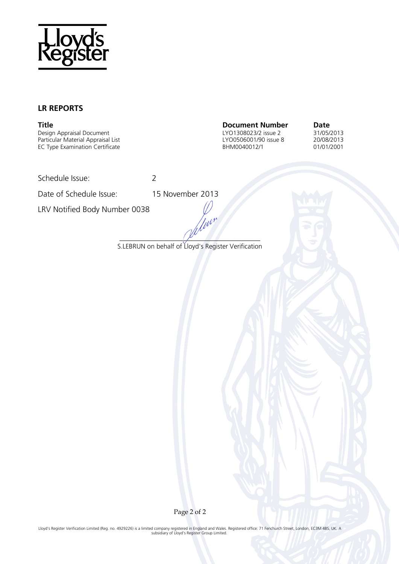

### **LR REPORTS**

Design Appraisal Document<br>
Particular Material Appraisal List<br>
Particular Material Appraisal List<br>
CYO0506001/90 issue 8 30/08/2013 Particular Material Appraisal List LYO0506001/90 issue 8 20/08/2013 EC Type Examination Certificate

**Title Document Number Date Design Appraisal Document Number Date Date Design Appraisal Document Design Appraisal Document Date Design Appraisal Document Design Appraisal Document** 

Schedule Issue: 2

Date of Schedule Issue: 15 November 2013

LRV Notified Body Number 0038

*\_\_\_\_\_\_\_\_\_\_\_\_\_\_\_\_\_\_\_\_\_\_\_\_\_\_\_\_\_\_\_\_\_\_\_*  S.LEBRUN on behalf of Lloyd's Register Verification

deur

Page 2 of 2

Lloyd's Register Verification Limited (Reg. no. 4929226) is a limited company registered in England and Wales. Registered office: 71 Fenchurch Street, London, EC3M 4BS, UK. A subsidiary of Lloyd's Register Group Limited.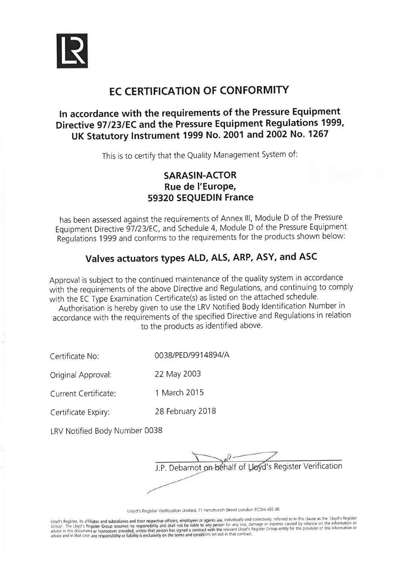

# **EC CERTIFICATION OF CONFORMITY**

## In accordance with the requirements of the Pressure Equipment Directive 97/23/EC and the Pressure Equipment Regulations 1999, UK Statutory Instrument 1999 No. 2001 and 2002 No. 1267

This is to certify that the Quality Management System of:

## **SARASIN-ACTOR** Rue de l'Europe, 59320 SEQUEDIN France

has been assessed against the requirements of Annex III, Module D of the Pressure Equipment Directive 97/23/EC, and Schedule 4, Module D of the Pressure Equipment Regulations 1999 and conforms to the requirements for the products shown below:

## Valves actuators types ALD, ALS, ARP, ASY, and ASC

Approval is subject to the continued maintenance of the quality system in accordance with the requirements of the above Directive and Regulations, and continuing to comply with the EC Type Examination Certificate(s) as listed on the attached schedule.

Authorisation is hereby given to use the LRV Notified Body Identification Number in accordance with the requirements of the specified Directive and Regulations in relation to the products as identified above.

0038/PED/9914894/A Certificate No:

22 May 2003 Original Approval:

1 March 2015 Current Certificate:

28 February 2018 Certificate Expiry:

LRV Notified Body Number 0038

J.P. Debarnot on behalf of Uoyd's Register Verification

Lloyd's Register Verification Limited, 71 Fenchurch Street London EC3M 4BS UK

Lloyd's Register, its affiliates and subsidiaries and their respective officers, employees or agents are, individually and collectively, referred to in this clause as the 'Lloyd's Register Group assumes no responsibility a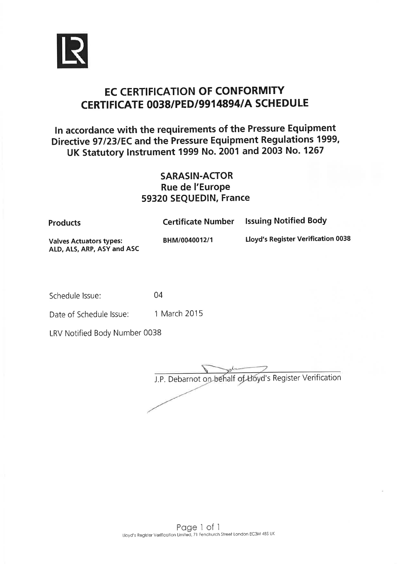

# **EC CERTIFICATION OF CONFORMITY** CERTIFICATE 0038/PED/9914894/A SCHEDULE

In accordance with the requirements of the Pressure Equipment Directive 97/23/EC and the Pressure Equipment Regulations 1999, UK Statutory Instrument 1999 No. 2001 and 2003 No. 1267

### **SARASIN-ACTOR** Rue de l'Europe 59320 SEQUEDIN, France

| <b>Products</b>                                              | <b>Certificate Number</b> | <b>Issuing Notified Body</b>              |
|--------------------------------------------------------------|---------------------------|-------------------------------------------|
| <b>Valves Actuators types:</b><br>ALD, ALS, ARP, ASY and ASC | BHM/0040012/1             | <b>Lloyd's Register Verification 0038</b> |

Schedule Issue:

1 March 2015 Date of Schedule Issue:

04

LRV Notified Body Number 0038

J.P. Debarnot on behalf of Lloyd's Register Verification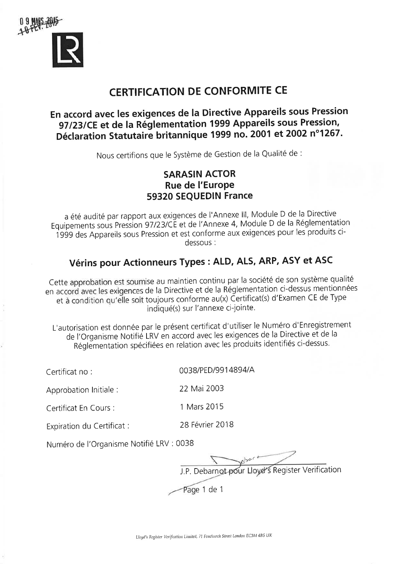

# **CERTIFICATION DE CONFORMITE CE**

## En accord avec les exigences de la Directive Appareils sous Pression 97/23/CE et de la Réglementation 1999 Appareils sous Pression, Déclaration Statutaire britannique 1999 no. 2001 et 2002 n°1267.

Nous certifions que le Système de Gestion de la Qualité de :

## **SARASIN ACTOR** Rue de l'Europe 59320 SEQUEDIN France

a été audité par rapport aux exigences de l'Annexe III, Module D de la Directive Equipements sous Pression 97/23/CE et de l'Annexe 4, Module D de la Réglementation 1999 des Appareils sous Pression et est conforme aux exigences pour les produits cidessous:

## Vérins pour Actionneurs Types : ALD, ALS, ARP, ASY et ASC

Cette approbation est soumise au maintien continu par la société de son système qualité en accord avec les exigences de la Directive et de la Réglementation ci-dessus mentionnées et à condition qu'elle soit toujours conforme au(x) Certificat(s) d'Examen CE de Type indiqué(s) sur l'annexe ci-jointe.

L'autorisation est donnée par le présent certificat d'utiliser le Numéro d'Enregistrement de l'Organisme Notifié LRV en accord avec les exigences de la Directive et de la Réglementation spécifiées en relation avec les produits identifiés ci-dessus.

22 Mai 2003

1 Mars 2015

0038/PED/9914894/A

Certificat no:

Approbation Initiale :

Certificat En Cours :

28 Février 2018 Expiration du Certificat :

Numéro de l'Organisme Notifié LRV : 0038

J.P. Debarnot pour Lloyd's Register Verification Page 1 de 1